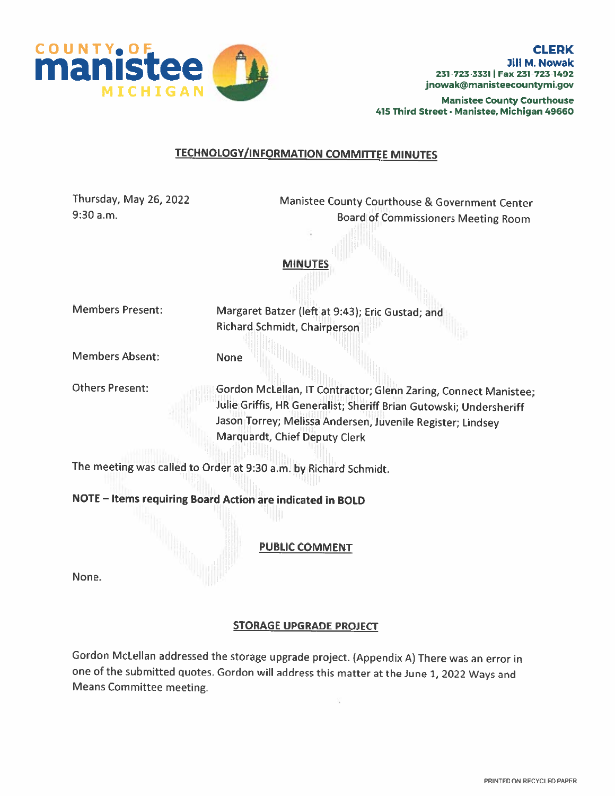

**Jill M. Nowak** 231-723-3331 | Fax 231-723-1492 jnowak@manisteecountymi.gov

Manistee County Courthouse 415 Third Street · Manistee, Michigan 49660

### TECHNOLOGY/INFORMATION COMMITTEE MINUTES

Thursday, May 26, <sup>2022</sup> Manistee County Courthouse & Government Center 9:30 am. Board of Commissioners Meeting Room

**MINU** 

Members Present: Margaret Batzer (left at 9:43); Eric Gustad; and Richard Schmidt, Chairperson

Members Absent: None

Others Present: Gordon McLeIlan, IT Contractor; Glenn Zaring, Connect Manistee; Julie Griffis, HR Generalist; Sheriff Brian Gutowski; Undersheriff Jason Torrey; Melissa Andersen, Juvenile Register; Lindsey Marquardt, Chief Deputy Clerk

The meeting was called to Order at 9:30 a.m. by Richard Schmidt.

NOTE — Items requiring Board Action are indicated in BOLD

PUBLIC COMMENT

None.

### STORAGE UPGRADE PROJECT

Gordon McLelIan addressed the storage upgrade project. (Appendix A) There was an error in one of the submitted quotes. Gordon will address this matter at the iune 1, <sup>2022</sup> Ways and Means Committee meeting.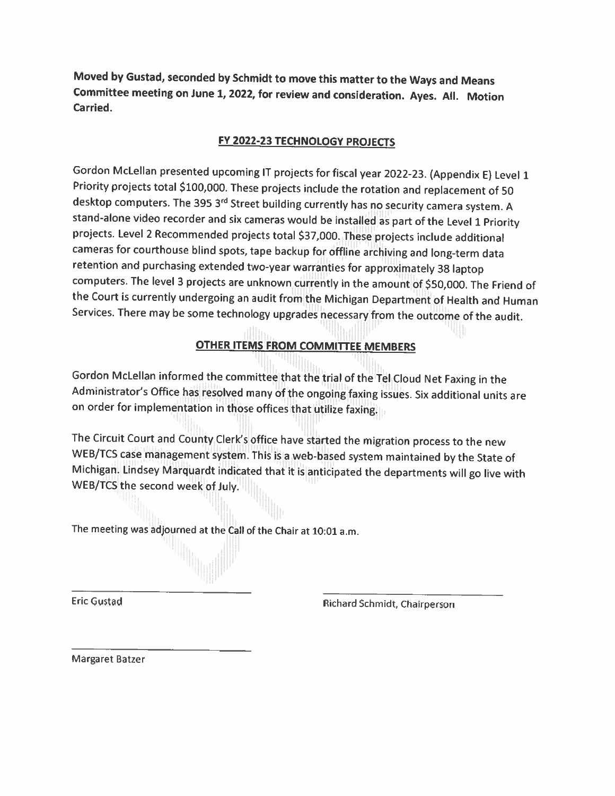Moved by Gustad, seconded by Schmidt to move this matter to the Ways and Means Committee meeting on June 1, 2022, for review and consideration. Ayes. All. Motion Carried.

## FY 2022-23 TECHNOLOGY PROJECTS

Gordon McLelIan presented upcoming IT projects for fiscal year 2022-23. (Appendix E) Level <sup>1</sup> Priority projects total \$100,000. These projects include the rotation and replacement of <sup>50</sup> desktop computers. The 395 3<sup>rd</sup> Street building currently has no security camera system. A stand-alone video recorder and six cameras would be installed as part of the Level <sup>1</sup> Priority projects. Level 2 Recommended projects total \$37,000. These projects include additional cameras for courthouse blind spots, tape backup for offline archiving and long-term data retention and purchasing extended two-year warranties for approximately <sup>38</sup> laptop computers. The level 3 projects are unknown currently in the amount of \$50,000. The Friend of the Court is currently undergoing an audit from the Michigan Department of Health and Human Services. There may be some technology upgrades necessary from the outcome of the audit.

# OTHER ITEMS FROM COMMITTEE MEMBERS

Gordon McLellan informed the committee that the trial of the Tel Cloud Net Faxing in the Administrator's Office has resolved many of the ongoing faxing issues. Six additional units are on order for implementation in those offices that utilize faxing.

The Circuit Court and County Clerk's office have started the migration process to the new WEB/TCS case management system. This is a web-based system maintained by the State of Michigan. Lindsey Marquardt indicated that it is anticipated the departments will go live with WEB/TCS the second week of July.

The meeting was adjourned at the Call of the Chair at 10:01 a.m.

Eric Gustad Richard Schmidt, Chairperson

Margaret Batzer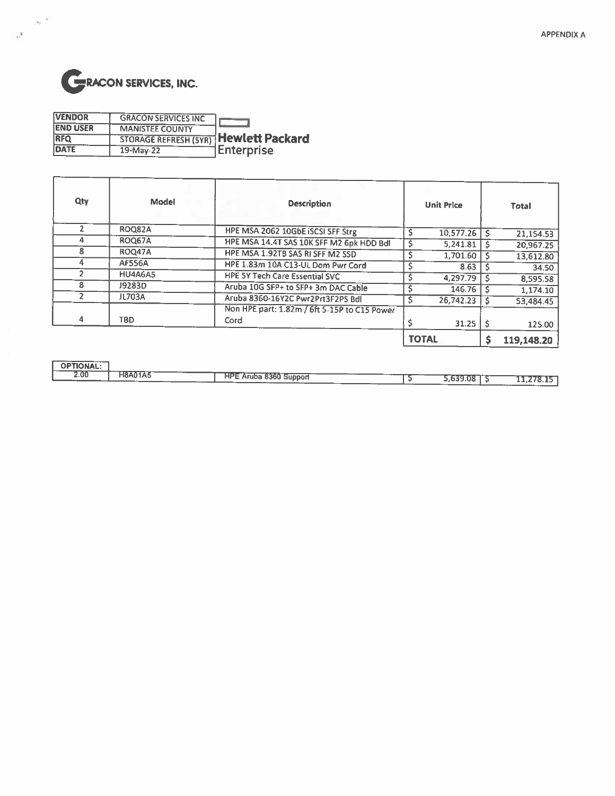

Ŧ

 $\mu_{\ell}$  .

 $\mathbf{v}^{\mathrm{f}}$ 

| <b>VENDOR</b>   | <b>GRACON SERVICES INC</b>                   |                    |
|-----------------|----------------------------------------------|--------------------|
| <b>END USER</b> | <b>MANISTEE COUNTY</b>                       |                    |
| <b>RFQ</b>      | <b>STORAGE REFRESH (5YR) Hewlett Packard</b> |                    |
| DATE            | 19-May-22                                    | <b>HEnterprise</b> |

| Qty           | <b>Model</b>   | <b>Description</b>                                   | <b>Unit Price</b> | <b>Total</b> |
|---------------|----------------|------------------------------------------------------|-------------------|--------------|
|               | ROQ82A         | HPE MSA 2062 10GbE ISCSI SFF Strg                    | 10,577.26         | 21,154.53    |
| 4             | ROQ67A         | HPE MSA 14.4T SAS 10K SFF M2 6pk HDD Bdl             | 5,241.81          | 20,967.25    |
| 8             | <b>ROQ47A</b>  | HPE MSA 1.92TB SAS RI SFF M2 SSD                     | 1,701.60          | 13,612.80    |
|               | <b>AF556A</b>  | HPE 1.83m 10A C13-UL Dom Pwr Cord                    | 8.63              | 34.50        |
| $\mathcal{P}$ | <b>HU4A6A5</b> | <b>HPE 5Y Tech Care Essential SVC</b>                | 4,297.79          | 8,595.58     |
| 8             | J9283D         | Aruba 10G SFP+ to SFP+ 3m DAC Cable                  | 146.76            | 1,174.10     |
|               | JL703A         | Aruba 8360-16Y2C Pwr2Prt3F2PS Bdl                    | 26,742.23         | 53,484.45    |
| 4             | TBD            | Non HPE part: 1.82m / 6ft 5-15P to C15 Power<br>Cord | 31.25             | 125.00       |
|               |                |                                                      | <b>TOTAL</b>      | 119,148.20   |

| <b>OPTIONAL:</b> |                |                               |           |                                      |
|------------------|----------------|-------------------------------|-----------|--------------------------------------|
| 2.00             | <b>H8A01A5</b> | HPE Aruba 8360 Support<br>___ | $-639.08$ | $\overline{1778.15}$ .<br>. <i>.</i> |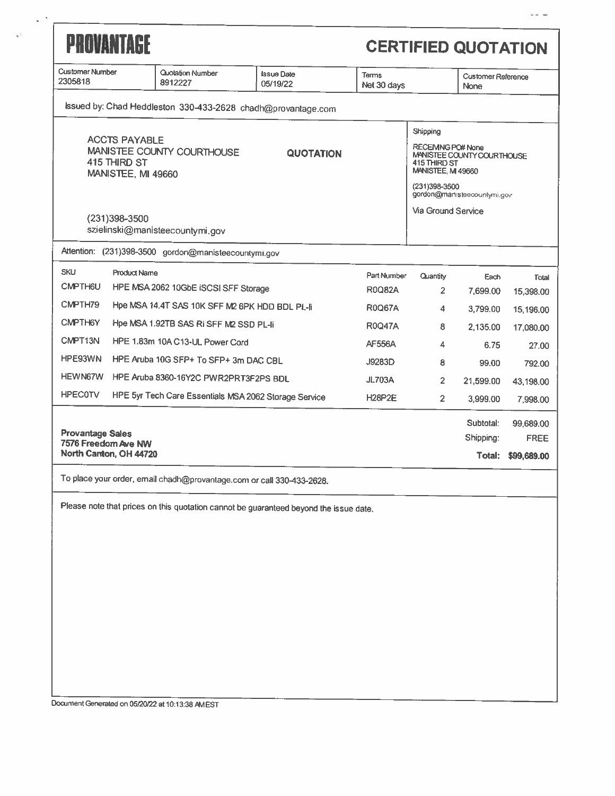| PROVANTAGE<br><b>CERTIFIED QUOTATION</b>                                                                     |                                                                       |                               |                              |                                                                                                                                                                                     |                                   |                                         |
|--------------------------------------------------------------------------------------------------------------|-----------------------------------------------------------------------|-------------------------------|------------------------------|-------------------------------------------------------------------------------------------------------------------------------------------------------------------------------------|-----------------------------------|-----------------------------------------|
| <b>Customer Number</b><br>2305818                                                                            | Quotation Number<br>8912227                                           | <b>Issue Date</b><br>05/19/22 | Terms<br>Net 30 days         |                                                                                                                                                                                     | <b>Customer Reference</b><br>None |                                         |
|                                                                                                              | Issued by: Chad Heddleston 330-433-2628 chadh@provantage.com          |                               |                              |                                                                                                                                                                                     |                                   |                                         |
| <b>ACCTS PAYABLE</b><br>MANISTEE COUNTY COURTHOUSE<br><b>QUOTATION</b><br>415 THIRD ST<br>MANISTEE, MI 49660 |                                                                       |                               |                              | Shipping<br><b>RECEMNG PO# None</b><br>MANISTEE COUNTY COURTHOUSE<br>415 THIRD ST<br><b>MANISTEE, M 49660</b><br>(231)398-3500<br>gordon@manisteecountymi.gov<br>Via Ground Service |                                   |                                         |
| $(231)398 - 3500$                                                                                            | szielinski@manisteecountymi.gov                                       |                               |                              |                                                                                                                                                                                     |                                   |                                         |
|                                                                                                              | Attention: (231)398-3500 gordon@manisteecountymi.gov                  |                               |                              |                                                                                                                                                                                     |                                   |                                         |
| <b>SKU</b><br><b>Product Name</b><br><b>CMPTH6U</b>                                                          | HPE MSA 2062 10GbE ISCSI SFF Storage                                  |                               | Part Number<br><b>R0Q82A</b> | <b>Quantity</b><br>2                                                                                                                                                                | Each<br>7,699.00                  | Total<br>15,398.00                      |
| CMPTH79                                                                                                      | Hpe MSA 14.4T SAS 10K SFF M2 6PK HDD BDL PL-li                        |                               | <b>R0Q67A</b>                | 4                                                                                                                                                                                   | 3,799.00                          | 15,196.00                               |
| CMPTH6Y                                                                                                      | Hpe MSA 1.92TB SAS Ri SFF M2 SSD PL-li                                |                               | <b>R0Q47A</b>                | 8                                                                                                                                                                                   | 2,135.00                          | 17,080.00                               |
| CMPT <sub>13N</sub>                                                                                          | HPE 1.83m 10A C13-UL Power Cord                                       |                               | <b>AF556A</b>                | 4                                                                                                                                                                                   | 6.75                              | 27.00                                   |
| HPE93WN<br>HPE Aruba 10G SFP+ To SFP+ 3m DAC CBL                                                             |                                                                       |                               | J9283D                       | 8                                                                                                                                                                                   | 99.00                             | 792.00                                  |
| HEWN67W<br>HPE Aruba 8360-16Y2C PWR2PRT3F2PS BDL                                                             |                                                                       |                               | <b>JL703A</b>                | $\overline{2}$                                                                                                                                                                      | 21,599.00                         | 43,198.00                               |
| <b>HPEC0TV</b><br>HPE 5yr Tech Care Essentials MSA 2062 Storage Service                                      |                                                                       |                               | <b>H28P2E</b>                | $\overline{2}$                                                                                                                                                                      | 3,999.00                          | 7,998.00                                |
| <b>Provantage Sales</b><br>7576 Freedom Ave NW<br>North Canton, OH 44720                                     |                                                                       |                               |                              |                                                                                                                                                                                     | Subtotal:<br>Shipping:<br>Total:  | 99,689.00<br><b>FREE</b><br>\$99,689.00 |
|                                                                                                              | To place your order, email chadh@provantage.com or call 330-433-2628. |                               |                              |                                                                                                                                                                                     |                                   |                                         |
| Please note that prices on this quotation cannot be guaranteed beyond the issue date.                        |                                                                       |                               |                              |                                                                                                                                                                                     |                                   |                                         |
|                                                                                                              |                                                                       |                               |                              |                                                                                                                                                                                     |                                   |                                         |

Document Generated on 05/20/22 at 10:13:38 AMEST

 $\mathbf{r}$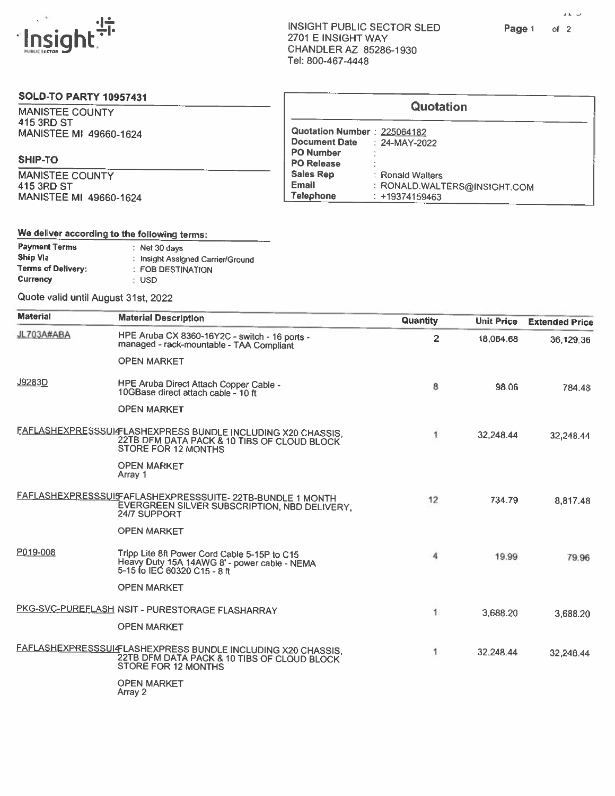

### SOLD-TO PARTY 10957431

MANISTEE COUNTY 415 3RD ST MANISTEE MI 49660-1624

### SHIP-TO

MANISTEE COUNTY 415 3RD ST MANISTEE MI 49660-1624

| <b>Quotation</b>            |                              |  |  |  |
|-----------------------------|------------------------------|--|--|--|
| Quotation Number: 225064182 |                              |  |  |  |
| <b>Document Date</b>        | $: 24-MAY-2022$              |  |  |  |
| <b>PO Number</b>            | ٠.                           |  |  |  |
| <b>PO Release</b>           | ٠                            |  |  |  |
| <b>Sales Rep</b>            | : Ronald Walters             |  |  |  |
| <b>Email</b>                | : RONALD.WALTERS@INSIGHT.COM |  |  |  |
| <b>Telephone</b>            | $: +19374159463$             |  |  |  |

### We deliver according to the following terms:

| <b>Payment Terms</b>      | $:$ Net 30 days                   |
|---------------------------|-----------------------------------|
| Ship Via                  | : Insight Assigned Carrier/Ground |
| <b>Terms of Delivery:</b> | : FOB DESTINATION                 |
| Currency                  | : USD                             |

Quote valid until August 31st, <sup>2022</sup>

| <b>Material</b> | <b>Material Description</b>                                                                                                               | Quantity       | <b>Unit Price</b> | <b>Extended Price</b> |
|-----------------|-------------------------------------------------------------------------------------------------------------------------------------------|----------------|-------------------|-----------------------|
| JL703A#ABA      | HPE Aruba CX 8360-16Y2C - switch - 16 ports -<br>managed - rack-mountable - TAA Compliant                                                 | $\overline{2}$ | 18,064.68         | 36,129.36             |
|                 | <b>OPEN MARKET</b>                                                                                                                        |                |                   |                       |
| J9283D          | HPE Aruba Direct Attach Copper Cable -<br>10GBase direct attach cable - 10 ft                                                             | 8              | 98.06             | 784.48                |
|                 | <b>OPEN MARKET</b>                                                                                                                        |                |                   |                       |
|                 | <b>FAFLASHEXPRESSSUI FLASHEXPRESS BUNDLE INCLUDING X20 CHASSIS,</b><br>22TB DFM DATA PACK & 10 TIBS OF CLOUD BLOCK<br>STORE FOR 12 MONTHS | 1              | 32,248.44         | 32,248.44             |
|                 | <b>OPEN MARKET</b><br>Array 1                                                                                                             |                |                   |                       |
|                 | FAFLASHEXPRESSSUIFAFLASHEXPRESSSUITE-22TB-BUNDLE 1 MONTH<br>EVERGREEN SILVER SUBSCRIPTION, NBD DELIVERY,<br><b>24/7 SUPPORT</b>           | 12             | 734.79            | 8,817.48              |
|                 | <b>OPEN MARKET</b>                                                                                                                        |                |                   |                       |
| P019-008        | Tripp Lite 8ft Power Cord Cable 5-15P to C15<br>Heavy Duty 15A 14AWG 8' - power cable - NEMA<br>5-15 to IEC 60320 C15 - 8 ft              | 4              | 19.99             | 79.96                 |
|                 | <b>OPEN MARKET</b>                                                                                                                        |                |                   |                       |
|                 | PKG-SVC-PUREFLASH NSIT - PURESTORAGE FLASHARRAY                                                                                           | 1              | 3,688.20          | 3,688.20              |
|                 | <b>OPEN MARKET</b>                                                                                                                        |                |                   |                       |
|                 | FAFLASHEXPRESSSUIF LASHEXPRESS BUNDLE INCLUDING X20 CHASSIS,<br>22TB DFM DATA PACK & 10 TIBS OF CLOUD BLOCK<br>STORE FOR 12 MONTHS        | 1              | 32,248.44         | 32.248.44             |
|                 | <b>OPEN MARKET</b><br>Array 2                                                                                                             |                |                   |                       |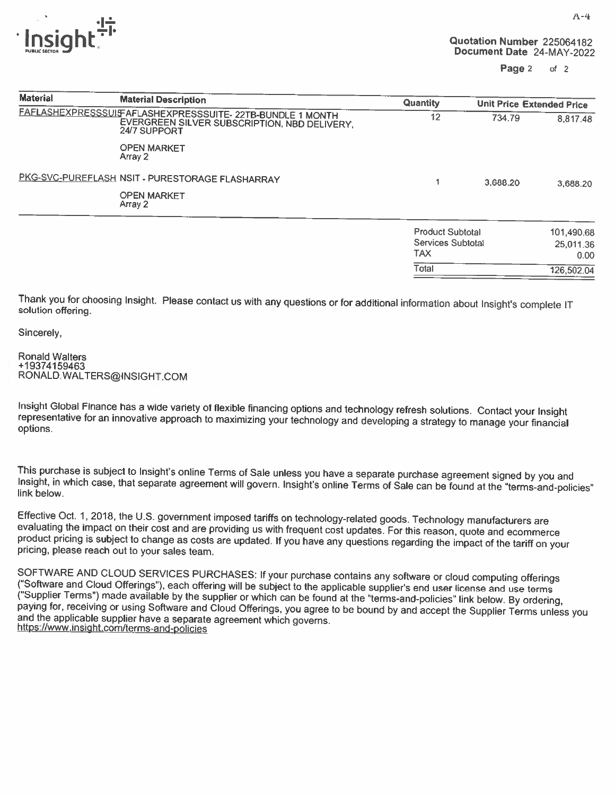

Page 2 of 2

|                  | A -4                       |
|------------------|----------------------------|
| ∵Insight™        | Quotation Number 225064182 |
| PUBLIC SECTOR UP | Document Date 24-MAY-2022  |

| <b>Material</b>                                 | <b>Material Description</b>                                                                                              | Quantity                | <b>Unit Price Extended Price</b> |           |
|-------------------------------------------------|--------------------------------------------------------------------------------------------------------------------------|-------------------------|----------------------------------|-----------|
|                                                 | FAFLASHEXPRESSSUIFAFLASHEXPRESSSUITE-22TB-BUNDLE 1 MONTH<br>EVERGREEN SILVER SUBSCRIPTION, NBD DELIVERY,<br>24/7 SUPPORT | 12                      | 734.79                           | 8,817.48  |
|                                                 | <b>OPEN MARKET</b><br>Array 2                                                                                            |                         |                                  |           |
| PKG-SVC-PUREFLASH NSIT - PURESTORAGE FLASHARRAY |                                                                                                                          |                         | 3,688,20                         | 3,688.20  |
|                                                 | <b>OPEN MARKET</b><br>Array 2                                                                                            |                         |                                  |           |
|                                                 |                                                                                                                          | <b>Product Subtotal</b> |                                  | 101,490.6 |

| <b>Product Subtotal</b> | 101.490.68 |
|-------------------------|------------|
| Services Subtotal       | 25,011.36  |
| TAX                     | 0.00       |
| Total                   | 126,502.04 |

Thank you for choosing Insight. Please contact us with any questions or for additional information about Insight's complete IT solution offering.

Sincerely,

Ronald Walters +19374159463 RONALD.WALTERS@INSIGHT.COM

Insight Global Finance has a wide variety of flexible financing options and technology refresh solutions. Contact your Insight representative for an innovative approach to maximizing your technology and developing a strate

This purchase is subject to Insight's online Terms of Sale unless you have a separate purchase agreement signed by you and<br>Insight, in which case, that separate agreement will govern. Insight's online Terms of Sale can be

Effective Oct. 1, 2018, the U.S. government imposed tariffs on technology-related goods. Technology manufacturers are evaluating the impact on their cost and are providing us with frequent cost updates. For this reason, qu

SOFTWARE AND CLOUD SERVICES PURCHASES: If your purchase contains any software or cloud computing offerings<br>("Software and Cloud Offerings"), each offering will be subject to the applicable supplier's end user license and u